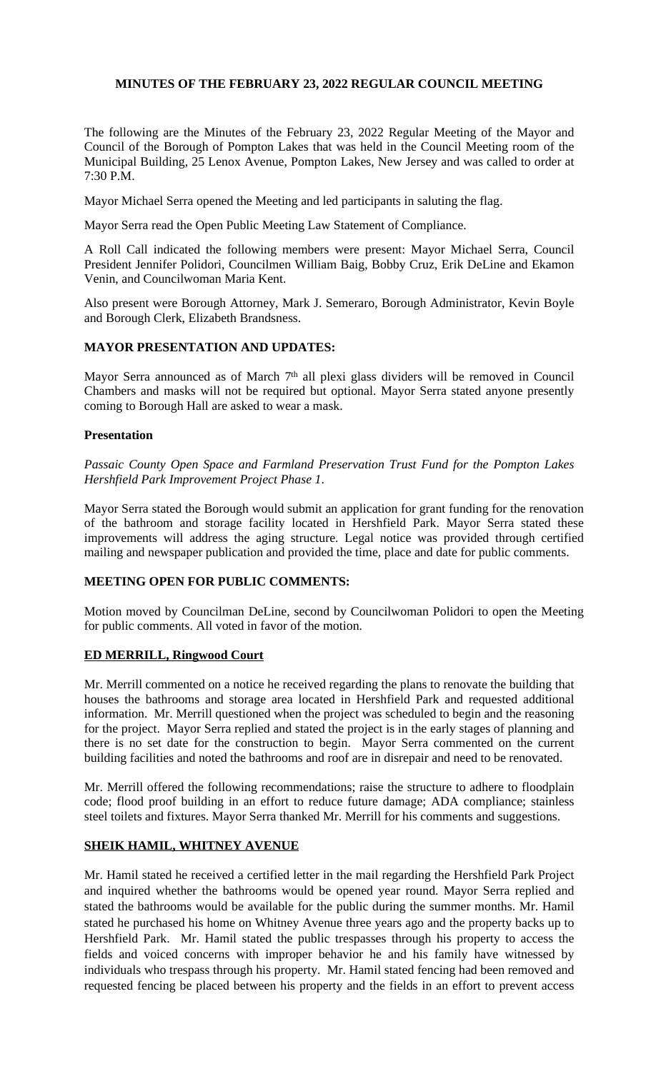# **MINUTES OF THE FEBRUARY 23, 2022 REGULAR COUNCIL MEETING**

The following are the Minutes of the February 23, 2022 Regular Meeting of the Mayor and Council of the Borough of Pompton Lakes that was held in the Council Meeting room of the Municipal Building, 25 Lenox Avenue, Pompton Lakes, New Jersey and was called to order at 7:30 P.M.

Mayor Michael Serra opened the Meeting and led participants in saluting the flag.

Mayor Serra read the Open Public Meeting Law Statement of Compliance.

A Roll Call indicated the following members were present: Mayor Michael Serra, Council President Jennifer Polidori, Councilmen William Baig, Bobby Cruz, Erik DeLine and Ekamon Venin, and Councilwoman Maria Kent.

Also present were Borough Attorney, Mark J. Semeraro, Borough Administrator, Kevin Boyle and Borough Clerk, Elizabeth Brandsness.

## **MAYOR PRESENTATION AND UPDATES:**

Mayor Serra announced as of March 7<sup>th</sup> all plexi glass dividers will be removed in Council Chambers and masks will not be required but optional. Mayor Serra stated anyone presently coming to Borough Hall are asked to wear a mask.

## **Presentation**

*Passaic County Open Space and Farmland Preservation Trust Fund for the Pompton Lakes Hershfield Park Improvement Project Phase 1*.

Mayor Serra stated the Borough would submit an application for grant funding for the renovation of the bathroom and storage facility located in Hershfield Park. Mayor Serra stated these improvements will address the aging structure. Legal notice was provided through certified mailing and newspaper publication and provided the time, place and date for public comments.

## **MEETING OPEN FOR PUBLIC COMMENTS:**

Motion moved by Councilman DeLine, second by Councilwoman Polidori to open the Meeting for public comments. All voted in favor of the motion.

## **ED MERRILL, Ringwood Court**

Mr. Merrill commented on a notice he received regarding the plans to renovate the building that houses the bathrooms and storage area located in Hershfield Park and requested additional information. Mr. Merrill questioned when the project was scheduled to begin and the reasoning for the project. Mayor Serra replied and stated the project is in the early stages of planning and there is no set date for the construction to begin. Mayor Serra commented on the current building facilities and noted the bathrooms and roof are in disrepair and need to be renovated.

Mr. Merrill offered the following recommendations; raise the structure to adhere to floodplain code; flood proof building in an effort to reduce future damage; ADA compliance; stainless steel toilets and fixtures. Mayor Serra thanked Mr. Merrill for his comments and suggestions.

## **SHEIK HAMIL, WHITNEY AVENUE**

Mr. Hamil stated he received a certified letter in the mail regarding the Hershfield Park Project and inquired whether the bathrooms would be opened year round. Mayor Serra replied and stated the bathrooms would be available for the public during the summer months. Mr. Hamil stated he purchased his home on Whitney Avenue three years ago and the property backs up to Hershfield Park. Mr. Hamil stated the public trespasses through his property to access the fields and voiced concerns with improper behavior he and his family have witnessed by individuals who trespass through his property. Mr. Hamil stated fencing had been removed and requested fencing be placed between his property and the fields in an effort to prevent access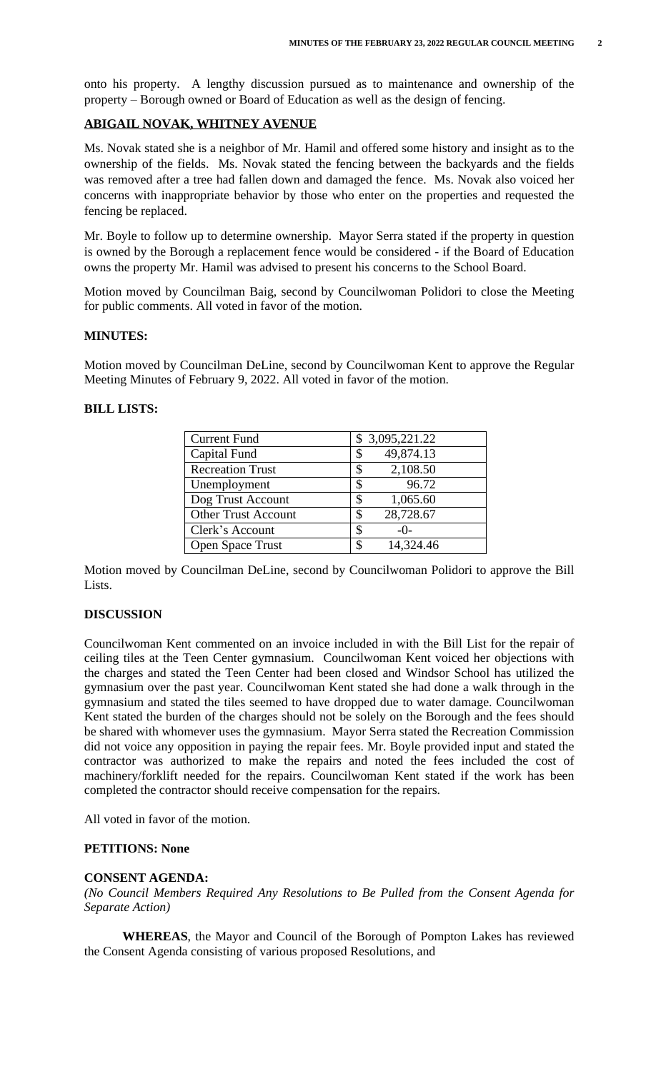onto his property. A lengthy discussion pursued as to maintenance and ownership of the property – Borough owned or Board of Education as well as the design of fencing.

## **ABIGAIL NOVAK, WHITNEY AVENUE**

Ms. Novak stated she is a neighbor of Mr. Hamil and offered some history and insight as to the ownership of the fields. Ms. Novak stated the fencing between the backyards and the fields was removed after a tree had fallen down and damaged the fence. Ms. Novak also voiced her concerns with inappropriate behavior by those who enter on the properties and requested the fencing be replaced.

Mr. Boyle to follow up to determine ownership. Mayor Serra stated if the property in question is owned by the Borough a replacement fence would be considered - if the Board of Education owns the property Mr. Hamil was advised to present his concerns to the School Board.

Motion moved by Councilman Baig, second by Councilwoman Polidori to close the Meeting for public comments. All voted in favor of the motion.

#### **MINUTES:**

Motion moved by Councilman DeLine, second by Councilwoman Kent to approve the Regular Meeting Minutes of February 9, 2022. All voted in favor of the motion.

## **BILL LISTS:**

| <b>Current Fund</b>        | \$3,095,221.22 |
|----------------------------|----------------|
| Capital Fund               | 49,874.13      |
| <b>Recreation Trust</b>    | 2,108.50       |
| Unemployment               | 96.72<br>S     |
| Dog Trust Account          | 1,065.60       |
| <b>Other Trust Account</b> | 28,728.67<br>S |
| Clerk's Account            | \$<br>$-()$ -  |
| <b>Open Space Trust</b>    | 14,324.46      |

Motion moved by Councilman DeLine, second by Councilwoman Polidori to approve the Bill Lists.

## **DISCUSSION**

Councilwoman Kent commented on an invoice included in with the Bill List for the repair of ceiling tiles at the Teen Center gymnasium. Councilwoman Kent voiced her objections with the charges and stated the Teen Center had been closed and Windsor School has utilized the gymnasium over the past year. Councilwoman Kent stated she had done a walk through in the gymnasium and stated the tiles seemed to have dropped due to water damage. Councilwoman Kent stated the burden of the charges should not be solely on the Borough and the fees should be shared with whomever uses the gymnasium. Mayor Serra stated the Recreation Commission did not voice any opposition in paying the repair fees. Mr. Boyle provided input and stated the contractor was authorized to make the repairs and noted the fees included the cost of machinery/forklift needed for the repairs. Councilwoman Kent stated if the work has been completed the contractor should receive compensation for the repairs.

All voted in favor of the motion.

#### **PETITIONS: None**

#### **CONSENT AGENDA:**

*(No Council Members Required Any Resolutions to Be Pulled from the Consent Agenda for Separate Action)*

**WHEREAS**, the Mayor and Council of the Borough of Pompton Lakes has reviewed the Consent Agenda consisting of various proposed Resolutions, and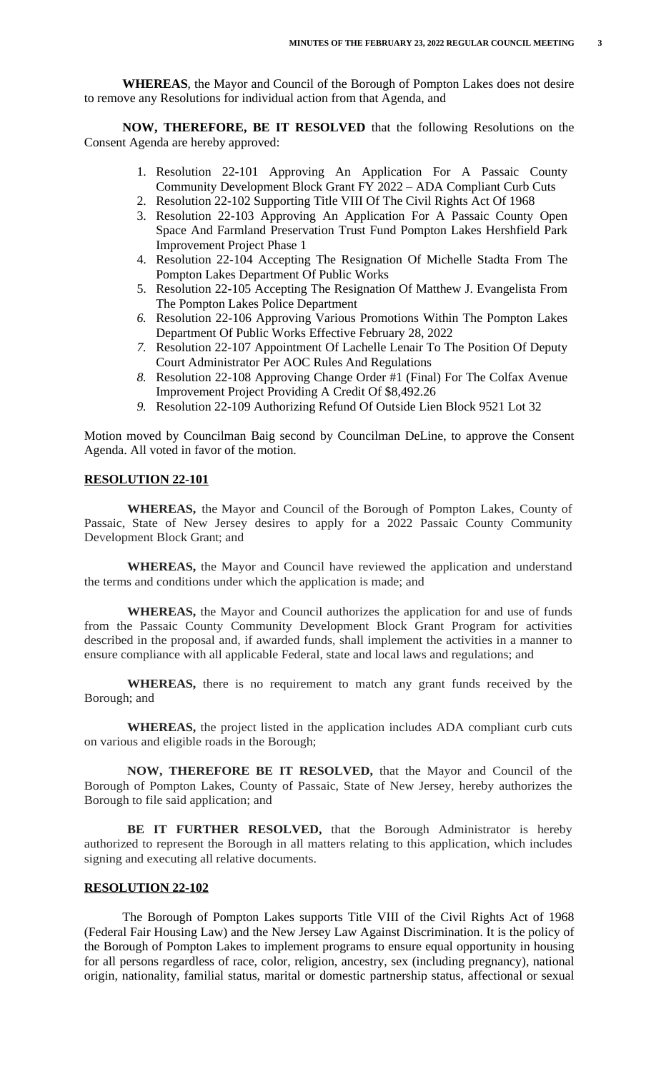**WHEREAS**, the Mayor and Council of the Borough of Pompton Lakes does not desire to remove any Resolutions for individual action from that Agenda, and

**NOW, THEREFORE, BE IT RESOLVED** that the following Resolutions on the Consent Agenda are hereby approved:

- 1. Resolution 22-101 Approving An Application For A Passaic County Community Development Block Grant FY 2022 – ADA Compliant Curb Cuts
- 2. Resolution 22-102 Supporting Title VIII Of The Civil Rights Act Of 1968
- 3. Resolution 22-103 Approving An Application For A Passaic County Open Space And Farmland Preservation Trust Fund Pompton Lakes Hershfield Park Improvement Project Phase 1
- 4. Resolution 22-104 Accepting The Resignation Of Michelle Stadta From The Pompton Lakes Department Of Public Works
- 5. Resolution 22-105 Accepting The Resignation Of Matthew J. Evangelista From The Pompton Lakes Police Department
- *6.* Resolution 22-106 Approving Various Promotions Within The Pompton Lakes Department Of Public Works Effective February 28, 2022
- *7.* Resolution 22-107 Appointment Of Lachelle Lenair To The Position Of Deputy Court Administrator Per AOC Rules And Regulations
- *8.* Resolution 22-108 Approving Change Order #1 (Final) For The Colfax Avenue Improvement Project Providing A Credit Of \$8,492.26
- *9.* Resolution 22-109 Authorizing Refund Of Outside Lien Block 9521 Lot 32

Motion moved by Councilman Baig second by Councilman DeLine, to approve the Consent Agenda. All voted in favor of the motion.

## **RESOLUTION 22-101**

**WHEREAS,** the Mayor and Council of the Borough of Pompton Lakes, County of Passaic, State of New Jersey desires to apply for a 2022 Passaic County Community Development Block Grant; and

**WHEREAS,** the Mayor and Council have reviewed the application and understand the terms and conditions under which the application is made; and

**WHEREAS,** the Mayor and Council authorizes the application for and use of funds from the Passaic County Community Development Block Grant Program for activities described in the proposal and, if awarded funds, shall implement the activities in a manner to ensure compliance with all applicable Federal, state and local laws and regulations; and

**WHEREAS,** there is no requirement to match any grant funds received by the Borough; and

**WHEREAS,** the project listed in the application includes ADA compliant curb cuts on various and eligible roads in the Borough;

**NOW, THEREFORE BE IT RESOLVED,** that the Mayor and Council of the Borough of Pompton Lakes, County of Passaic, State of New Jersey, hereby authorizes the Borough to file said application; and

**BE IT FURTHER RESOLVED,** that the Borough Administrator is hereby authorized to represent the Borough in all matters relating to this application, which includes signing and executing all relative documents.

#### **RESOLUTION 22-102**

The Borough of Pompton Lakes supports Title VIII of the Civil Rights Act of 1968 (Federal Fair Housing Law) and the New Jersey Law Against Discrimination. It is the policy of the Borough of Pompton Lakes to implement programs to ensure equal opportunity in housing for all persons regardless of race, color, religion, ancestry, sex (including pregnancy), national origin, nationality, familial status, marital or domestic partnership status, affectional or sexual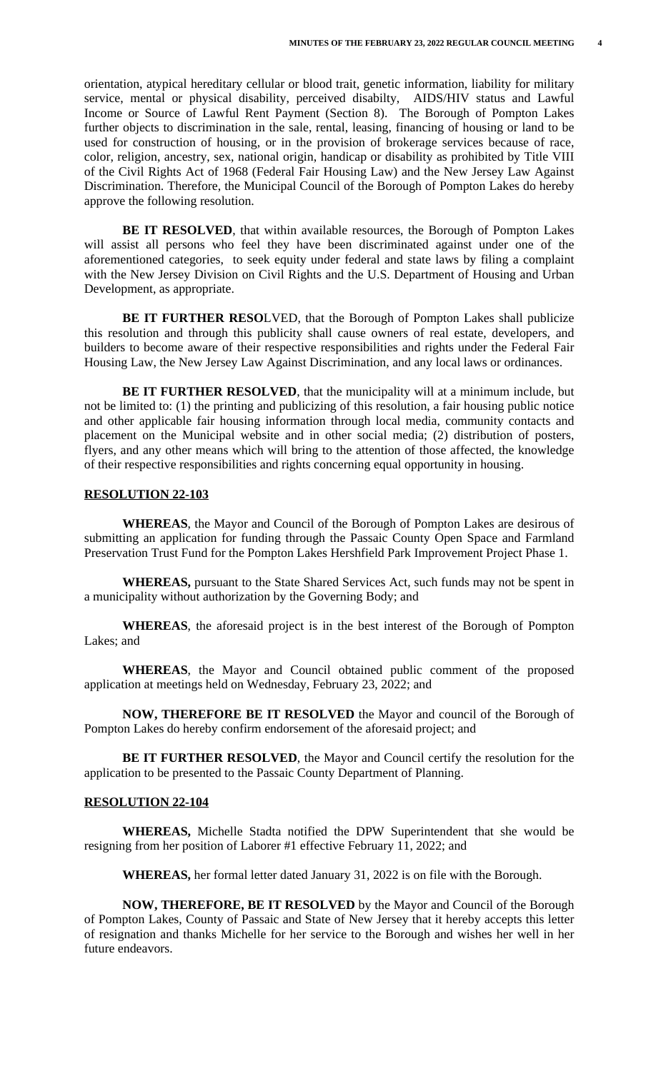orientation, atypical hereditary cellular or blood trait, genetic information, liability for military service, mental or physical disability, perceived disabilty, AIDS/HIV status and Lawful Income or Source of Lawful Rent Payment (Section 8). The Borough of Pompton Lakes further objects to discrimination in the sale, rental, leasing, financing of housing or land to be used for construction of housing, or in the provision of brokerage services because of race, color, religion, ancestry, sex, national origin, handicap or disability as prohibited by Title VIII of the Civil Rights Act of 1968 (Federal Fair Housing Law) and the New Jersey Law Against Discrimination. Therefore, the Municipal Council of the Borough of Pompton Lakes do hereby approve the following resolution.

**BE IT RESOLVED**, that within available resources, the Borough of Pompton Lakes will assist all persons who feel they have been discriminated against under one of the aforementioned categories, to seek equity under federal and state laws by filing a complaint with the New Jersey Division on Civil Rights and the U.S. Department of Housing and Urban Development, as appropriate.

**BE IT FURTHER RESO**LVED, that the Borough of Pompton Lakes shall publicize this resolution and through this publicity shall cause owners of real estate, developers, and builders to become aware of their respective responsibilities and rights under the Federal Fair Housing Law, the New Jersey Law Against Discrimination, and any local laws or ordinances.

**BE IT FURTHER RESOLVED**, that the municipality will at a minimum include, but not be limited to: (1) the printing and publicizing of this resolution, a fair housing public notice and other applicable fair housing information through local media, community contacts and placement on the Municipal website and in other social media; (2) distribution of posters, flyers, and any other means which will bring to the attention of those affected, the knowledge of their respective responsibilities and rights concerning equal opportunity in housing.

#### **RESOLUTION 22-103**

**WHEREAS**, the Mayor and Council of the Borough of Pompton Lakes are desirous of submitting an application for funding through the Passaic County Open Space and Farmland Preservation Trust Fund for the Pompton Lakes Hershfield Park Improvement Project Phase 1.

**WHEREAS,** pursuant to the State Shared Services Act, such funds may not be spent in a municipality without authorization by the Governing Body; and

**WHEREAS**, the aforesaid project is in the best interest of the Borough of Pompton Lakes; and

**WHEREAS**, the Mayor and Council obtained public comment of the proposed application at meetings held on Wednesday, February 23, 2022; and

**NOW, THEREFORE BE IT RESOLVED** the Mayor and council of the Borough of Pompton Lakes do hereby confirm endorsement of the aforesaid project; and

**BE IT FURTHER RESOLVED**, the Mayor and Council certify the resolution for the application to be presented to the Passaic County Department of Planning.

#### **RESOLUTION 22-104**

**WHEREAS,** Michelle Stadta notified the DPW Superintendent that she would be resigning from her position of Laborer #1 effective February 11, 2022; and

**WHEREAS,** her formal letter dated January 31, 2022 is on file with the Borough.

**NOW, THEREFORE, BE IT RESOLVED** by the Mayor and Council of the Borough of Pompton Lakes, County of Passaic and State of New Jersey that it hereby accepts this letter of resignation and thanks Michelle for her service to the Borough and wishes her well in her future endeavors.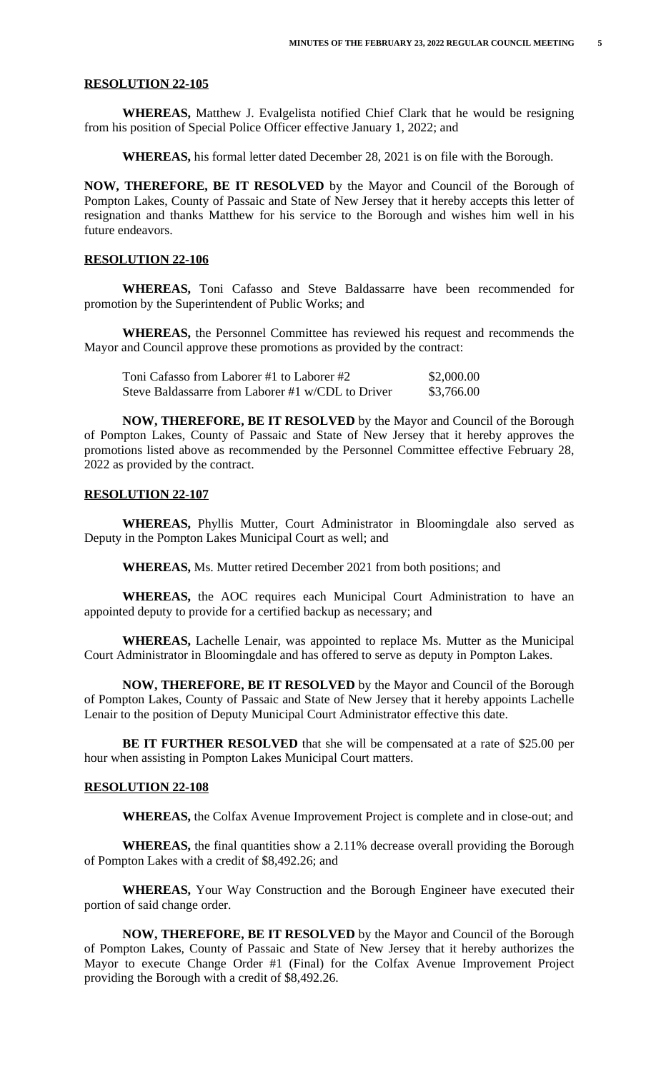#### **RESOLUTION 22-105**

**WHEREAS,** Matthew J. Evalgelista notified Chief Clark that he would be resigning from his position of Special Police Officer effective January 1, 2022; and

**WHEREAS,** his formal letter dated December 28, 2021 is on file with the Borough.

**NOW, THEREFORE, BE IT RESOLVED** by the Mayor and Council of the Borough of Pompton Lakes, County of Passaic and State of New Jersey that it hereby accepts this letter of resignation and thanks Matthew for his service to the Borough and wishes him well in his future endeavors.

#### **RESOLUTION 22-106**

**WHEREAS,** Toni Cafasso and Steve Baldassarre have been recommended for promotion by the Superintendent of Public Works; and

**WHEREAS,** the Personnel Committee has reviewed his request and recommends the Mayor and Council approve these promotions as provided by the contract:

| Toni Cafasso from Laborer #1 to Laborer #2        | \$2,000.00 |
|---------------------------------------------------|------------|
| Steve Baldassarre from Laborer #1 w/CDL to Driver | \$3,766.00 |

**NOW, THEREFORE, BE IT RESOLVED** by the Mayor and Council of the Borough of Pompton Lakes, County of Passaic and State of New Jersey that it hereby approves the promotions listed above as recommended by the Personnel Committee effective February 28, 2022 as provided by the contract.

#### **RESOLUTION 22-107**

**WHEREAS,** Phyllis Mutter, Court Administrator in Bloomingdale also served as Deputy in the Pompton Lakes Municipal Court as well; and

**WHEREAS,** Ms. Mutter retired December 2021 from both positions; and

**WHEREAS,** the AOC requires each Municipal Court Administration to have an appointed deputy to provide for a certified backup as necessary; and

**WHEREAS,** Lachelle Lenair, was appointed to replace Ms. Mutter as the Municipal Court Administrator in Bloomingdale and has offered to serve as deputy in Pompton Lakes.

**NOW, THEREFORE, BE IT RESOLVED** by the Mayor and Council of the Borough of Pompton Lakes, County of Passaic and State of New Jersey that it hereby appoints Lachelle Lenair to the position of Deputy Municipal Court Administrator effective this date.

**BE IT FURTHER RESOLVED** that she will be compensated at a rate of \$25.00 per hour when assisting in Pompton Lakes Municipal Court matters.

#### **RESOLUTION 22-108**

**WHEREAS,** the Colfax Avenue Improvement Project is complete and in close-out; and

**WHEREAS,** the final quantities show a 2.11% decrease overall providing the Borough of Pompton Lakes with a credit of \$8,492.26; and

**WHEREAS,** Your Way Construction and the Borough Engineer have executed their portion of said change order.

**NOW, THEREFORE, BE IT RESOLVED** by the Mayor and Council of the Borough of Pompton Lakes, County of Passaic and State of New Jersey that it hereby authorizes the Mayor to execute Change Order #1 (Final) for the Colfax Avenue Improvement Project providing the Borough with a credit of \$8,492.26.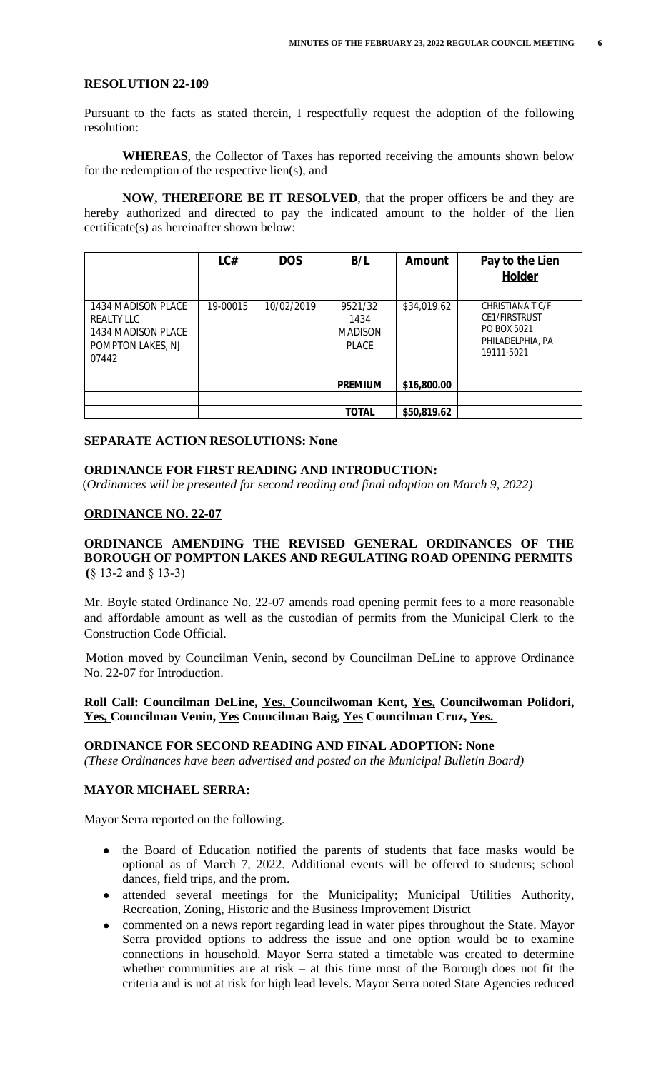#### **RESOLUTION 22-109**

Pursuant to the facts as stated therein, I respectfully request the adoption of the following resolution:

**WHEREAS**, the Collector of Taxes has reported receiving the amounts shown below for the redemption of the respective lien(s), and

**NOW, THEREFORE BE IT RESOLVED**, that the proper officers be and they are hereby authorized and directed to pay the indicated amount to the holder of the lien certificate(s) as hereinafter shown below:

|                                                                                             | LC#      | <b>DOS</b> | B/L                                               | <b>Amount</b> | Pay to the Lien<br>Holder                                                                 |
|---------------------------------------------------------------------------------------------|----------|------------|---------------------------------------------------|---------------|-------------------------------------------------------------------------------------------|
| 1434 MADISON PLACE<br><b>REALTY LLC</b><br>1434 MADISON PLACE<br>POMPTON LAKES, NJ<br>07442 | 19-00015 | 10/02/2019 | 9521/32<br>1434<br><b>MADISON</b><br><b>PLACE</b> | \$34,019.62   | CHRISTIANA T C/F<br><b>CE1/FIRSTRUST</b><br>PO BOX 5021<br>PHILADELPHIA, PA<br>19111-5021 |
|                                                                                             |          |            | <b>PREMIUM</b>                                    | \$16,800.00   |                                                                                           |
|                                                                                             |          |            |                                                   |               |                                                                                           |
|                                                                                             |          |            | <b>TOTAL</b>                                      | \$50,819.62   |                                                                                           |

#### **SEPARATE ACTION RESOLUTIONS: None**

#### **ORDINANCE FOR FIRST READING AND INTRODUCTION:**

(*Ordinances will be presented for second reading and final adoption on March 9, 2022)*

#### **ORDINANCE NO. 22-07**

## **ORDINANCE AMENDING THE REVISED GENERAL ORDINANCES OF THE BOROUGH OF POMPTON LAKES AND REGULATING ROAD OPENING PERMITS (**§ 13-2 and § 13-3)

Mr. Boyle stated Ordinance No. 22-07 amends road opening permit fees to a more reasonable and affordable amount as well as the custodian of permits from the Municipal Clerk to the Construction Code Official.

Motion moved by Councilman Venin, second by Councilman DeLine to approve Ordinance No. 22-07 for Introduction.

## **Roll Call: Councilman DeLine, Yes, Councilwoman Kent, Yes, Councilwoman Polidori, Yes, Councilman Venin, Yes Councilman Baig, Yes Councilman Cruz, Yes.**

# **ORDINANCE FOR SECOND READING AND FINAL ADOPTION: None**

*(These Ordinances have been advertised and posted on the Municipal Bulletin Board)*

## **MAYOR MICHAEL SERRA:**

Mayor Serra reported on the following.

- the Board of Education notified the parents of students that face masks would be optional as of March 7, 2022. Additional events will be offered to students; school dances, field trips, and the prom.
- attended several meetings for the Municipality; Municipal Utilities Authority, Recreation, Zoning, Historic and the Business Improvement District
- commented on a news report regarding lead in water pipes throughout the State. Mayor Serra provided options to address the issue and one option would be to examine connections in household. Mayor Serra stated a timetable was created to determine whether communities are at risk – at this time most of the Borough does not fit the criteria and is not at risk for high lead levels. Mayor Serra noted State Agencies reduced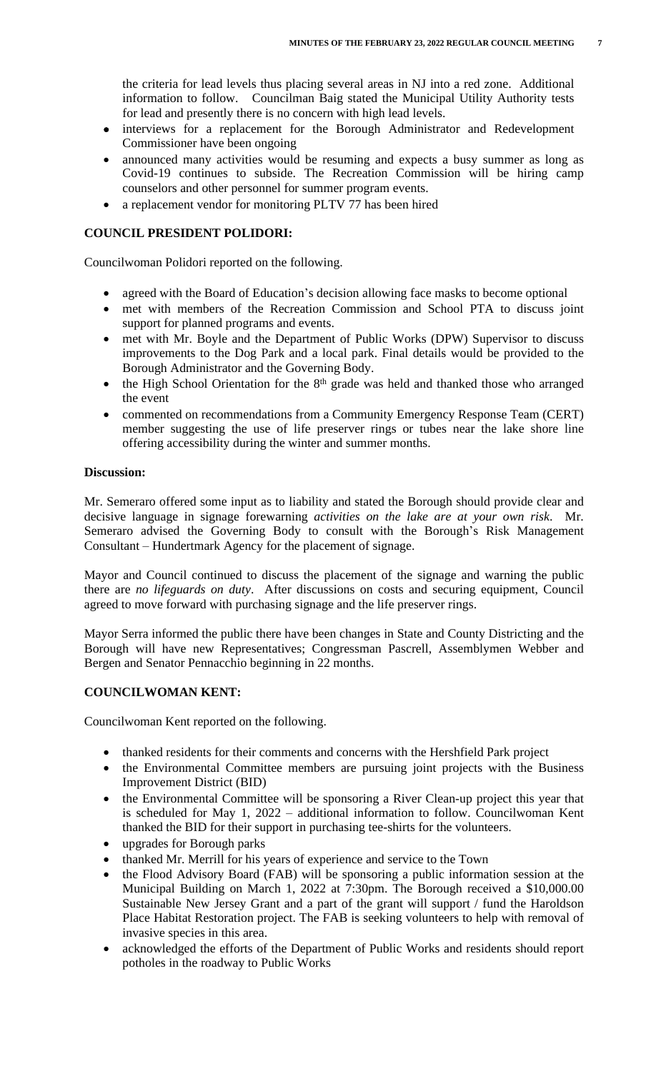the criteria for lead levels thus placing several areas in NJ into a red zone. Additional information to follow. Councilman Baig stated the Municipal Utility Authority tests for lead and presently there is no concern with high lead levels.

- interviews for a replacement for the Borough Administrator and Redevelopment Commissioner have been ongoing
- announced many activities would be resuming and expects a busy summer as long as Covid-19 continues to subside. The Recreation Commission will be hiring camp counselors and other personnel for summer program events.
- a replacement vendor for monitoring PLTV 77 has been hired

## **COUNCIL PRESIDENT POLIDORI:**

Councilwoman Polidori reported on the following.

- agreed with the Board of Education's decision allowing face masks to become optional
- met with members of the Recreation Commission and School PTA to discuss joint support for planned programs and events.
- met with Mr. Boyle and the Department of Public Works (DPW) Supervisor to discuss improvements to the Dog Park and a local park. Final details would be provided to the Borough Administrator and the Governing Body.
- the High School Orientation for the 8<sup>th</sup> grade was held and thanked those who arranged the event
- commented on recommendations from a Community Emergency Response Team (CERT) member suggesting the use of life preserver rings or tubes near the lake shore line offering accessibility during the winter and summer months.

#### **Discussion:**

Mr. Semeraro offered some input as to liability and stated the Borough should provide clear and decisive language in signage forewarning *activities on the lake are at your own risk*. Mr. Semeraro advised the Governing Body to consult with the Borough's Risk Management Consultant – Hundertmark Agency for the placement of signage.

Mayor and Council continued to discuss the placement of the signage and warning the public there are *no lifeguards on duty*. After discussions on costs and securing equipment, Council agreed to move forward with purchasing signage and the life preserver rings.

Mayor Serra informed the public there have been changes in State and County Districting and the Borough will have new Representatives; Congressman Pascrell, Assemblymen Webber and Bergen and Senator Pennacchio beginning in 22 months.

#### **COUNCILWOMAN KENT:**

Councilwoman Kent reported on the following.

- thanked residents for their comments and concerns with the Hershfield Park project
- the Environmental Committee members are pursuing joint projects with the Business Improvement District (BID)
- the Environmental Committee will be sponsoring a River Clean-up project this year that is scheduled for May 1, 2022 – additional information to follow. Councilwoman Kent thanked the BID for their support in purchasing tee-shirts for the volunteers.
- upgrades for Borough parks
- thanked Mr. Merrill for his years of experience and service to the Town
- the Flood Advisory Board (FAB) will be sponsoring a public information session at the Municipal Building on March 1, 2022 at 7:30pm. The Borough received a \$10,000.00 Sustainable New Jersey Grant and a part of the grant will support / fund the Haroldson Place Habitat Restoration project. The FAB is seeking volunteers to help with removal of invasive species in this area.
- acknowledged the efforts of the Department of Public Works and residents should report potholes in the roadway to Public Works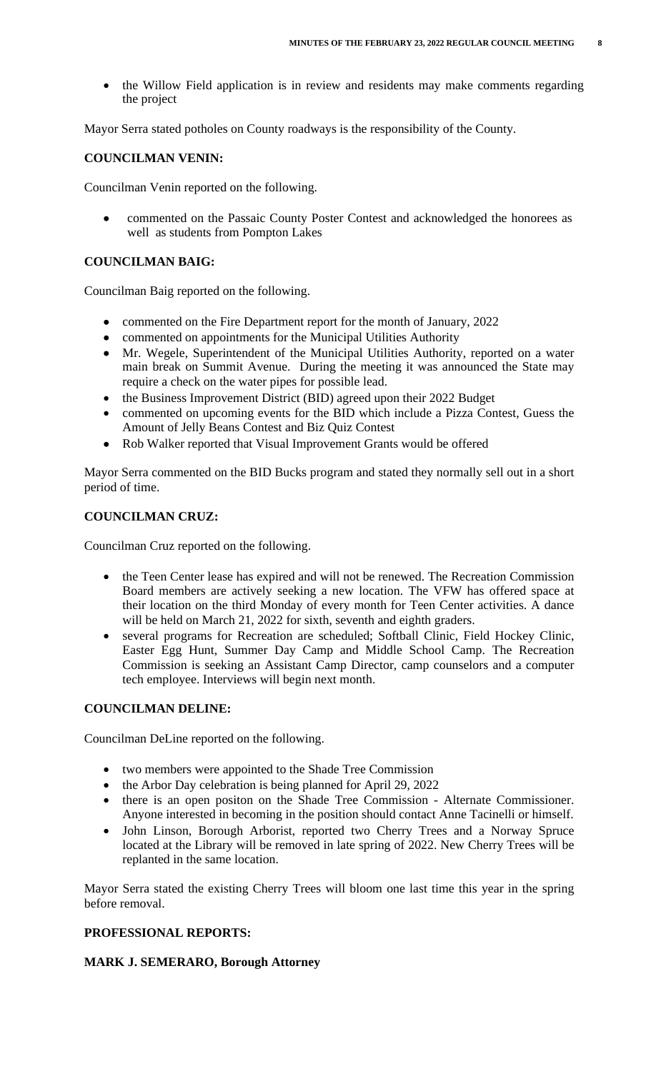the Willow Field application is in review and residents may make comments regarding the project

Mayor Serra stated potholes on County roadways is the responsibility of the County.

## **COUNCILMAN VENIN:**

Councilman Venin reported on the following.

 commented on the Passaic County Poster Contest and acknowledged the honorees as well as students from Pompton Lakes

## **COUNCILMAN BAIG:**

Councilman Baig reported on the following.

- commented on the Fire Department report for the month of January, 2022
- commented on appointments for the Municipal Utilities Authority
- Mr. Wegele, Superintendent of the Municipal Utilities Authority, reported on a water main break on Summit Avenue. During the meeting it was announced the State may require a check on the water pipes for possible lead.
- the Business Improvement District (BID) agreed upon their 2022 Budget
- commented on upcoming events for the BID which include a Pizza Contest, Guess the Amount of Jelly Beans Contest and Biz Quiz Contest
- Rob Walker reported that Visual Improvement Grants would be offered

Mayor Serra commented on the BID Bucks program and stated they normally sell out in a short period of time.

## **COUNCILMAN CRUZ:**

Councilman Cruz reported on the following.

- the Teen Center lease has expired and will not be renewed. The Recreation Commission Board members are actively seeking a new location. The VFW has offered space at their location on the third Monday of every month for Teen Center activities. A dance will be held on March 21, 2022 for sixth, seventh and eighth graders.
- several programs for Recreation are scheduled; Softball Clinic, Field Hockey Clinic, Easter Egg Hunt, Summer Day Camp and Middle School Camp. The Recreation Commission is seeking an Assistant Camp Director, camp counselors and a computer tech employee. Interviews will begin next month.

## **COUNCILMAN DELINE:**

Councilman DeLine reported on the following.

- two members were appointed to the Shade Tree Commission
- the Arbor Day celebration is being planned for April 29, 2022
- there is an open positon on the Shade Tree Commission Alternate Commissioner. Anyone interested in becoming in the position should contact Anne Tacinelli or himself.
- John Linson, Borough Arborist, reported two Cherry Trees and a Norway Spruce located at the Library will be removed in late spring of 2022. New Cherry Trees will be replanted in the same location.

Mayor Serra stated the existing Cherry Trees will bloom one last time this year in the spring before removal.

## **PROFESSIONAL REPORTS:**

#### **MARK J. SEMERARO, Borough Attorney**